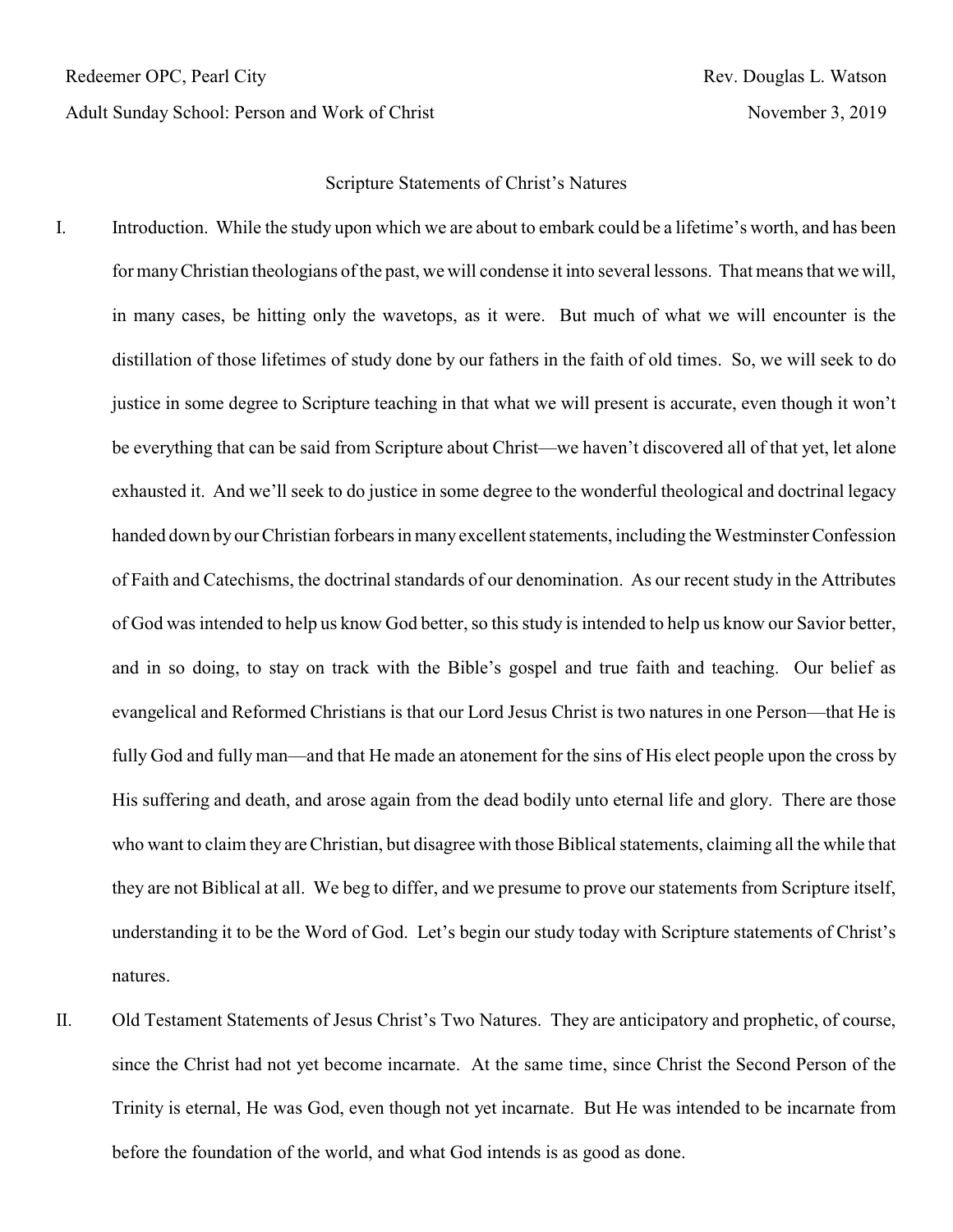Adult Sunday School: Person and Work of Christ November 3, 2019

Redeemer OPC, Pearl City Rev. Douglas L. Watson

## Scripture Statements of Christ's Natures

- I. Introduction. While the study upon which we are about to embark could be a lifetime's worth, and has been for manyChristian theologians of the past, we will condense it into several lessons. That means that we will, in many cases, be hitting only the wavetops, as it were. But much of what we will encounter is the distillation of those lifetimes of study done by our fathers in the faith of old times. So, we will seek to do justice in some degree to Scripture teaching in that what we will present is accurate, even though it won't be everything that can be said from Scripture about Christ—we haven't discovered all of that yet, let alone exhausted it. And we'll seek to do justice in some degree to the wonderful theological and doctrinal legacy handed down by our Christian forbears in many excellent statements, including the Westminster Confession of Faith and Catechisms, the doctrinal standards of our denomination. As our recent study in the Attributes of God was intended to help us know God better, so this study is intended to help us know our Savior better, and in so doing, to stay on track with the Bible's gospel and true faith and teaching. Our belief as evangelical and Reformed Christians is that our Lord Jesus Christ is two natures in one Person—that He is fully God and fully man—and that He made an atonement for the sins of His elect people upon the cross by His suffering and death, and arose again from the dead bodily unto eternal life and glory. There are those who want to claim they are Christian, but disagree with those Biblical statements, claiming all the while that they are not Biblical at all. We beg to differ, and we presume to prove our statements from Scripture itself, understanding it to be the Word of God. Let's begin our study today with Scripture statements of Christ's natures.
- II. Old Testament Statements of Jesus Christ's Two Natures. They are anticipatory and prophetic, of course, since the Christ had not yet become incarnate. At the same time, since Christ the Second Person of the Trinity is eternal, He was God, even though not yet incarnate. But He was intended to be incarnate from before the foundation of the world, and what God intends is as good as done.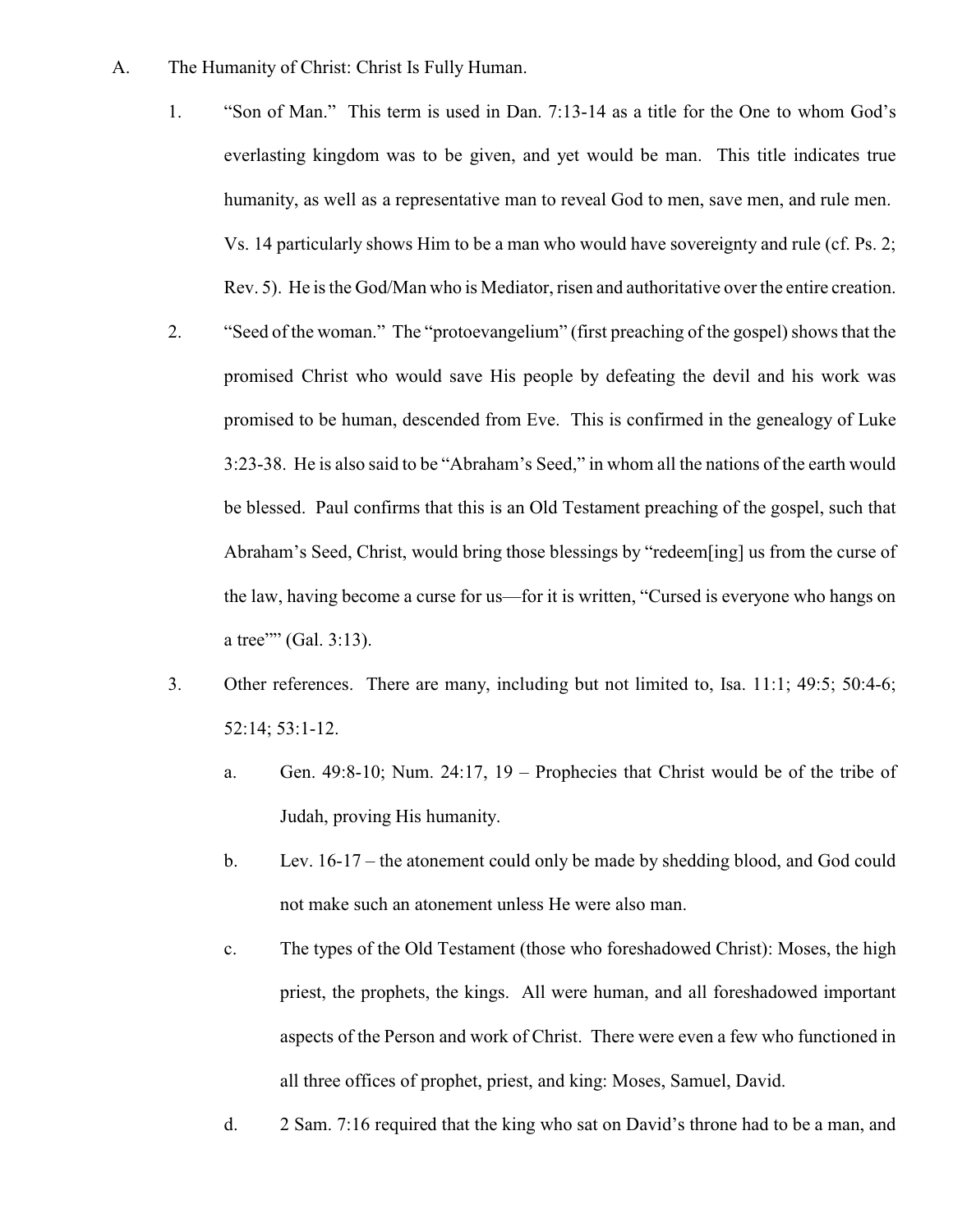- A. The Humanity of Christ: Christ Is Fully Human.
	- 1. "Son of Man." This term is used in Dan. 7:13-14 as a title for the One to whom God's everlasting kingdom was to be given, and yet would be man. This title indicates true humanity, as well as a representative man to reveal God to men, save men, and rule men. Vs. 14 particularly shows Him to be a man who would have sovereignty and rule (cf. Ps. 2; Rev. 5). He is the God/Man who is Mediator, risen and authoritative over the entire creation.
	- 2. "Seed of the woman." The "protoevangelium" (first preaching of the gospel) shows that the promised Christ who would save His people by defeating the devil and his work was promised to be human, descended from Eve. This is confirmed in the genealogy of Luke 3:23-38. He is also said to be "Abraham's Seed," in whom all the nations of the earth would be blessed. Paul confirms that this is an Old Testament preaching of the gospel, such that Abraham's Seed, Christ, would bring those blessings by "redeem[ing] us from the curse of the law, having become a curse for us—for it is written, "Cursed is everyone who hangs on a tree"" (Gal. 3:13).
	- 3. Other references. There are many, including but not limited to, Isa. 11:1; 49:5; 50:4-6; 52:14; 53:1-12.
		- a. Gen. 49:8-10; Num. 24:17,  $19$  Prophecies that Christ would be of the tribe of Judah, proving His humanity.
		- b. Lev. 16-17 the atonement could only be made by shedding blood, and God could not make such an atonement unless He were also man.
		- c. The types of the Old Testament (those who foreshadowed Christ): Moses, the high priest, the prophets, the kings. All were human, and all foreshadowed important aspects of the Person and work of Christ. There were even a few who functioned in all three offices of prophet, priest, and king: Moses, Samuel, David.
		- d. 2 Sam. 7:16 required that the king who sat on David's throne had to be a man, and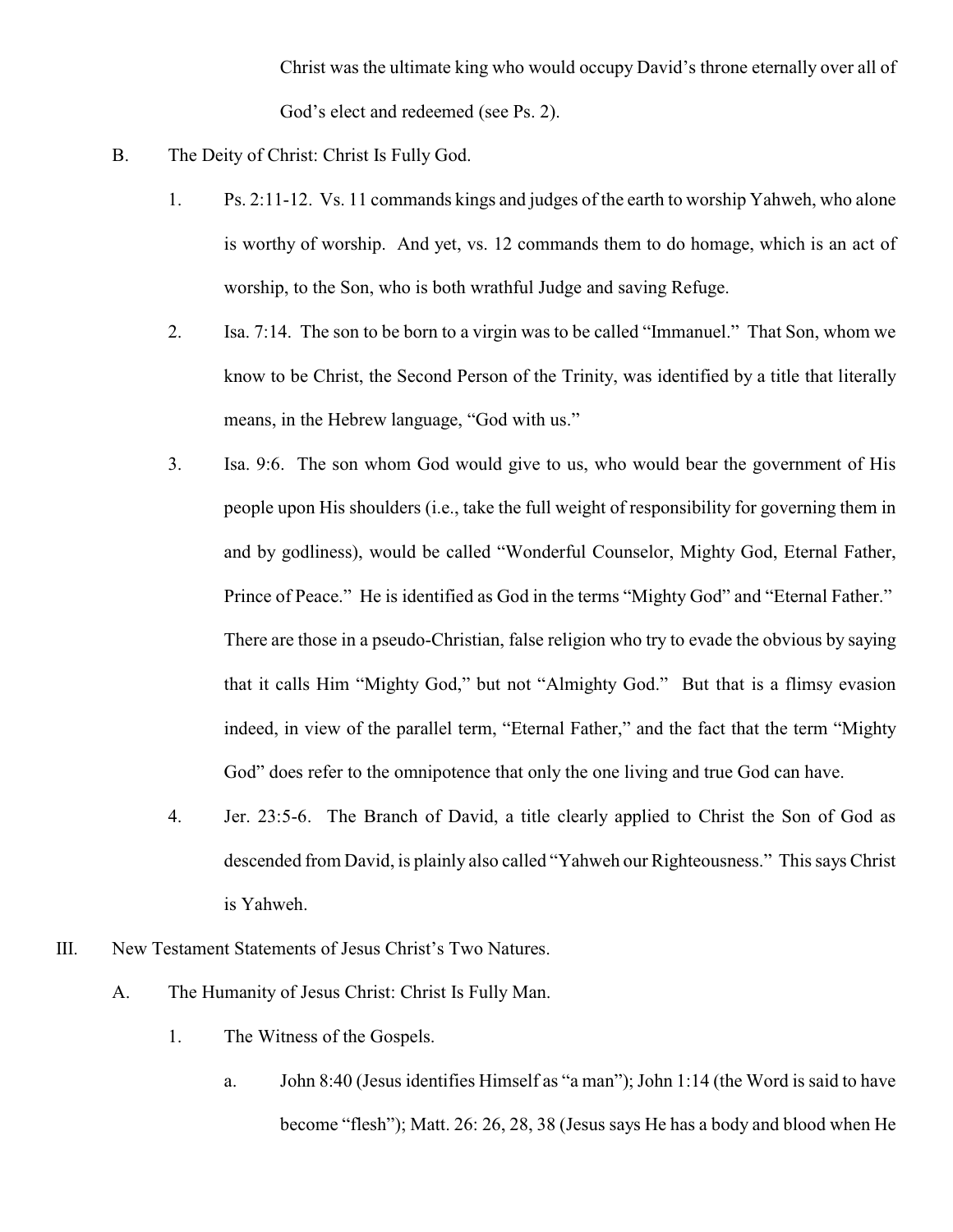Christ was the ultimate king who would occupy David's throne eternally over all of God's elect and redeemed (see Ps. 2).

- B. The Deity of Christ: Christ Is Fully God.
	- 1. Ps. 2:11-12. Vs. 11 commands kings and judges of the earth to worship Yahweh, who alone is worthy of worship. And yet, vs. 12 commands them to do homage, which is an act of worship, to the Son, who is both wrathful Judge and saving Refuge.
	- 2. Isa. 7:14. The son to be born to a virgin was to be called "Immanuel." That Son, whom we know to be Christ, the Second Person of the Trinity, was identified by a title that literally means, in the Hebrew language, "God with us."
	- 3. Isa. 9:6. The son whom God would give to us, who would bear the government of His people upon His shoulders (i.e., take the full weight of responsibility for governing them in and by godliness), would be called "Wonderful Counselor, Mighty God, Eternal Father, Prince of Peace." He is identified as God in the terms "Mighty God" and "Eternal Father." There are those in a pseudo-Christian, false religion who try to evade the obvious by saying that it calls Him "Mighty God," but not "Almighty God." But that is a flimsy evasion indeed, in view of the parallel term, "Eternal Father," and the fact that the term "Mighty God" does refer to the omnipotence that only the one living and true God can have.
	- 4. Jer. 23:5-6. The Branch of David, a title clearly applied to Christ the Son of God as descended from David, is plainly also called "Yahweh our Righteousness." This says Christ is Yahweh.
- III. New Testament Statements of Jesus Christ's Two Natures.
	- A. The Humanity of Jesus Christ: Christ Is Fully Man.
		- 1. The Witness of the Gospels.
			- a. John 8:40 (Jesus identifies Himself as "a man"); John 1:14 (the Word is said to have become "flesh"); Matt. 26: 26, 28, 38 (Jesus says He has a body and blood when He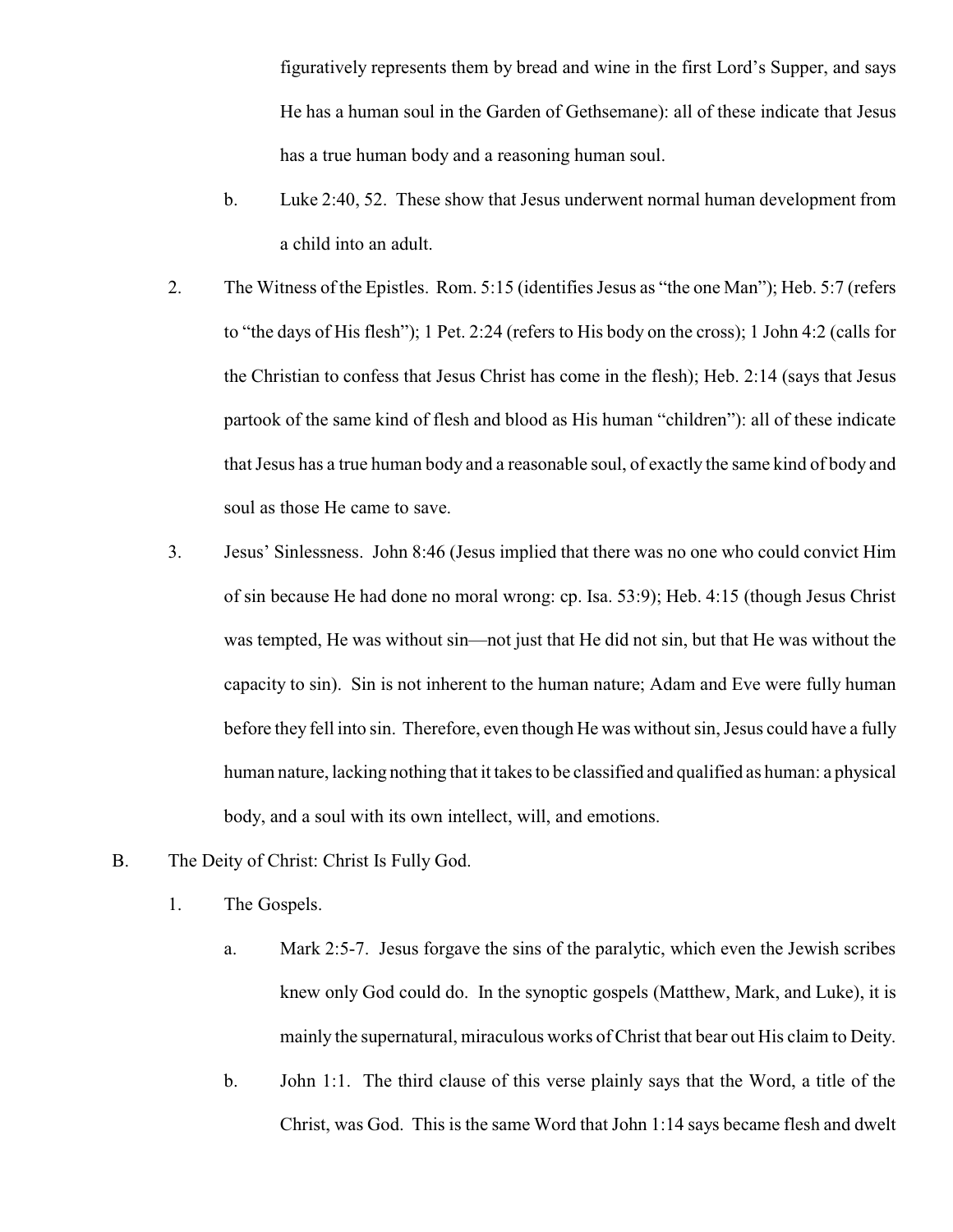figuratively represents them by bread and wine in the first Lord's Supper, and says He has a human soul in the Garden of Gethsemane): all of these indicate that Jesus has a true human body and a reasoning human soul.

- b. Luke 2:40, 52. These show that Jesus underwent normal human development from a child into an adult.
- 2. The Witness of the Epistles. Rom. 5:15 (identifies Jesus as "the one Man"); Heb. 5:7 (refers to "the days of His flesh"); 1 Pet. 2:24 (refers to His body on the cross); 1 John 4:2 (calls for the Christian to confess that Jesus Christ has come in the flesh); Heb. 2:14 (says that Jesus partook of the same kind of flesh and blood as His human "children"): all of these indicate that Jesus has a true human body and a reasonable soul, of exactly the same kind of body and soul as those He came to save.
- 3. Jesus' Sinlessness. John 8:46 (Jesus implied that there was no one who could convict Him of sin because He had done no moral wrong: cp. Isa. 53:9); Heb. 4:15 (though Jesus Christ was tempted, He was without sin—not just that He did not sin, but that He was without the capacity to sin). Sin is not inherent to the human nature; Adam and Eve were fully human before they fell into sin. Therefore, even though He was without sin, Jesus could have a fully human nature, lacking nothing that it takes to be classified and qualified as human: a physical body, and a soul with its own intellect, will, and emotions.
- B. The Deity of Christ: Christ Is Fully God.
	- 1. The Gospels.
		- a. Mark 2:5-7. Jesus forgave the sins of the paralytic, which even the Jewish scribes knew only God could do. In the synoptic gospels (Matthew, Mark, and Luke), it is mainly the supernatural, miraculous works of Christ that bear out His claim to Deity.
		- b. John 1:1. The third clause of this verse plainly says that the Word, a title of the Christ, was God. This is the same Word that John 1:14 says became flesh and dwelt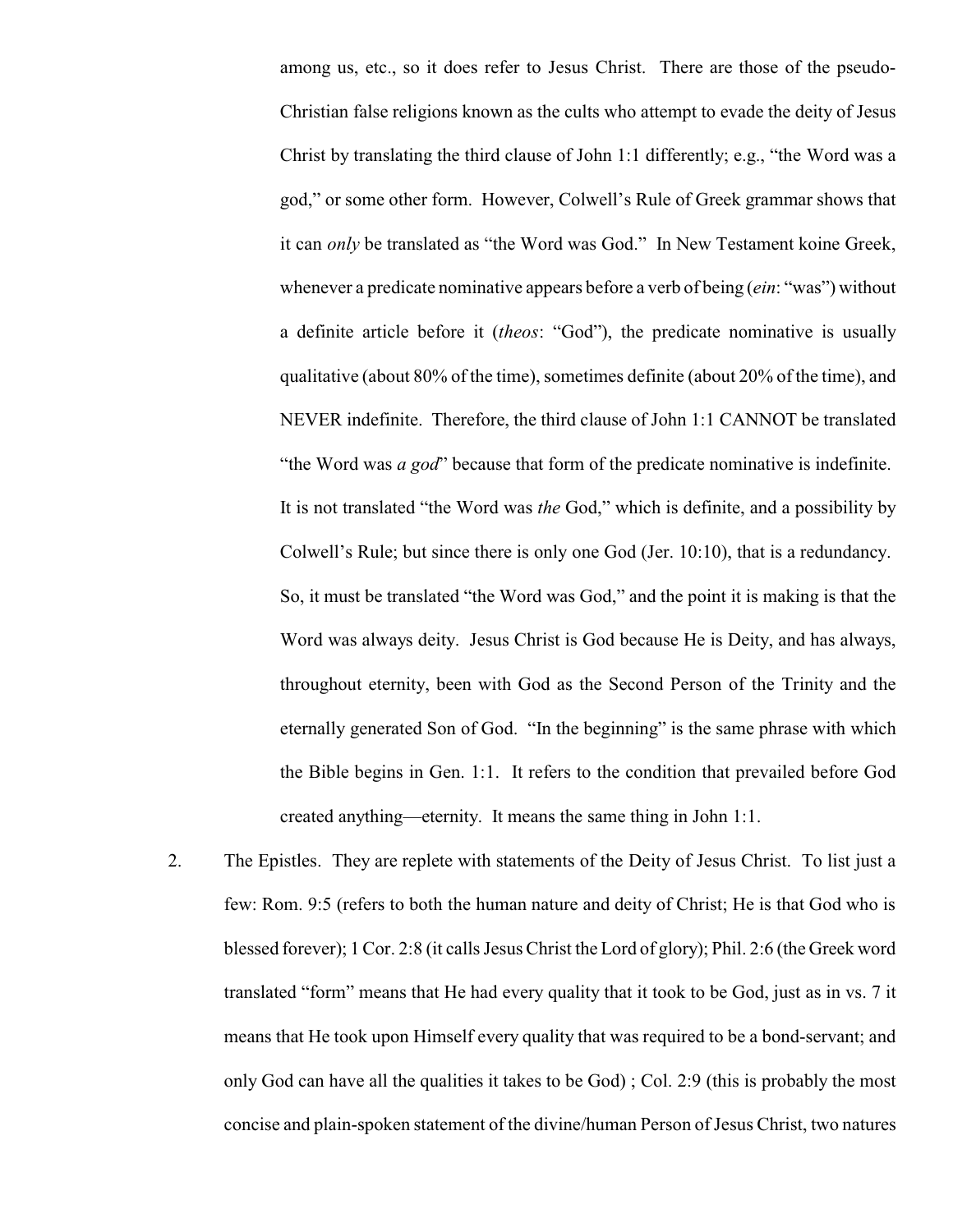among us, etc., so it does refer to Jesus Christ. There are those of the pseudo-Christian false religions known as the cults who attempt to evade the deity of Jesus Christ by translating the third clause of John 1:1 differently; e.g., "the Word was a god," or some other form. However, Colwell's Rule of Greek grammar shows that it can *only* be translated as "the Word was God." In New Testament koine Greek, whenever a predicate nominative appears before a verb of being (*ein*: "was") without a definite article before it (*theos*: "God"), the predicate nominative is usually qualitative (about 80% of the time), sometimes definite (about 20% of the time), and NEVER indefinite. Therefore, the third clause of John 1:1 CANNOT be translated "the Word was *a god*" because that form of the predicate nominative is indefinite. It is not translated "the Word was *the* God," which is definite, and a possibility by Colwell's Rule; but since there is only one God (Jer. 10:10), that is a redundancy. So, it must be translated "the Word was God," and the point it is making is that the Word was always deity. Jesus Christ is God because He is Deity, and has always, throughout eternity, been with God as the Second Person of the Trinity and the eternally generated Son of God. "In the beginning" is the same phrase with which the Bible begins in Gen. 1:1. It refers to the condition that prevailed before God created anything—eternity. It means the same thing in John 1:1.

2. The Epistles. They are replete with statements of the Deity of Jesus Christ. To list just a few: Rom. 9:5 (refers to both the human nature and deity of Christ; He is that God who is blessed forever); 1 Cor. 2:8 (it calls Jesus Christ the Lord of glory); Phil. 2:6 (the Greek word translated "form" means that He had every quality that it took to be God, just as in vs. 7 it means that He took upon Himself every quality that was required to be a bond-servant; and only God can have all the qualities it takes to be God) ; Col. 2:9 (this is probably the most concise and plain-spoken statement of the divine/human Person of Jesus Christ, two natures